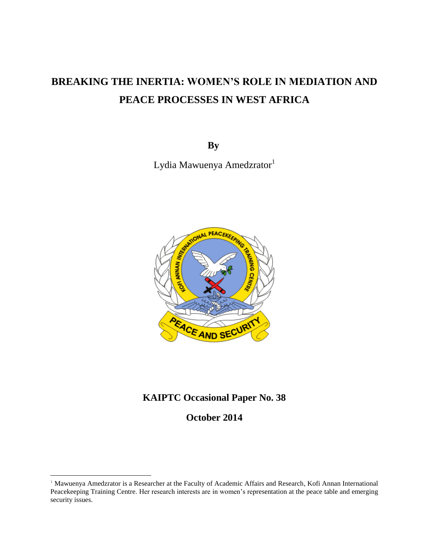# **BREAKING THE INERTIA: WOMEN'S ROLE IN MEDIATION AND PEACE PROCESSES IN WEST AFRICA**

**By**

Lydia Mawuenya Amedzrator<sup>1</sup>



## **KAIPTC Occasional Paper No. 38**

**October 2014**

 $\overline{\phantom{a}}$ 

<sup>&</sup>lt;sup>1</sup> Mawuenya Amedzrator is a Researcher at the Faculty of Academic Affairs and Research, Kofi Annan International Peacekeeping Training Centre. Her research interests are in women's representation at the peace table and emerging security issues.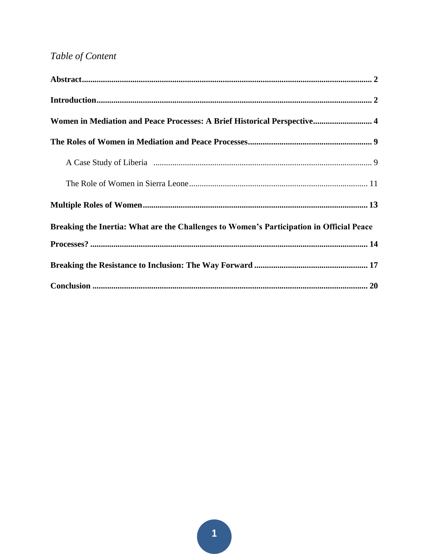## Table of Content

| Women in Mediation and Peace Processes: A Brief Historical Perspective 4                 |
|------------------------------------------------------------------------------------------|
|                                                                                          |
|                                                                                          |
|                                                                                          |
|                                                                                          |
| Breaking the Inertia: What are the Challenges to Women's Participation in Official Peace |
|                                                                                          |
|                                                                                          |
|                                                                                          |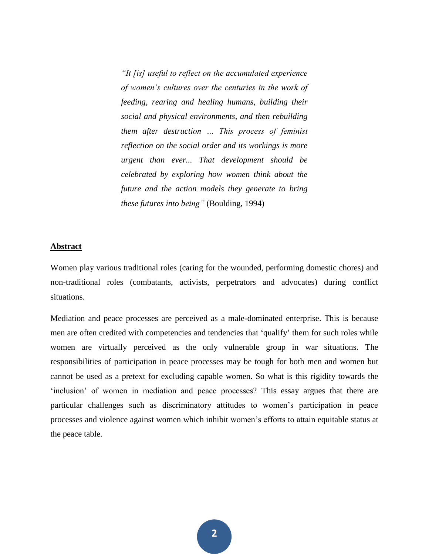*"It [is] useful to reflect on the accumulated experience of women's cultures over the centuries in the work of feeding, rearing and healing humans, building their social and physical environments, and then rebuilding them after destruction … This process of feminist reflection on the social order and its workings is more urgent than ever... That development should be celebrated by exploring how women think about the future and the action models they generate to bring these futures into being"* (Boulding, 1994)

#### **Abstract**

Women play various traditional roles (caring for the wounded, performing domestic chores) and non-traditional roles (combatants, activists, perpetrators and advocates) during conflict situations.

Mediation and peace processes are perceived as a male-dominated enterprise. This is because men are often credited with competencies and tendencies that 'qualify' them for such roles while women are virtually perceived as the only vulnerable group in war situations. The responsibilities of participation in peace processes may be tough for both men and women but cannot be used as a pretext for excluding capable women. So what is this rigidity towards the 'inclusion' of women in mediation and peace processes? This essay argues that there are particular challenges such as discriminatory attitudes to women's participation in peace processes and violence against women which inhibit women's efforts to attain equitable status at the peace table.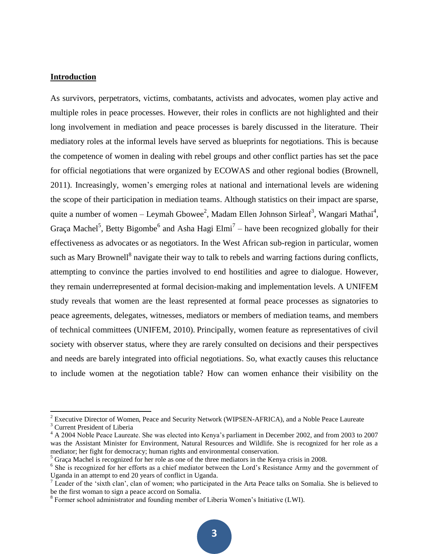#### **Introduction**

As survivors, perpetrators, victims, combatants, activists and advocates, women play active and multiple roles in peace processes. However, their roles in conflicts are not highlighted and their long involvement in mediation and peace processes is barely discussed in the literature. Their mediatory roles at the informal levels have served as blueprints for negotiations. This is because the competence of women in dealing with rebel groups and other conflict parties has set the pace for official negotiations that were organized by ECOWAS and other regional bodies (Brownell, 2011). Increasingly, women's emerging roles at national and international levels are widening the scope of their participation in mediation teams. Although statistics on their impact are sparse, quite a number of women – Leymah Gbowee<sup>2</sup>, Madam Ellen Johnson Sirleaf<sup>3</sup>, Wangari Mathai<sup>4</sup>, Graça Machel<sup>5</sup>, Betty Bigombe<sup>6</sup> and Asha Hagi Elmi<sup>7</sup> – have been recognized globally for their effectiveness as advocates or as negotiators. In the West African sub-region in particular, women such as Mary Brownell<sup>8</sup> navigate their way to talk to rebels and warring factions during conflicts, attempting to convince the parties involved to end hostilities and agree to dialogue. However, they remain underrepresented at formal decision-making and implementation levels. A UNIFEM study reveals that women are the least represented at formal peace processes as signatories to peace agreements, delegates, witnesses, mediators or members of mediation teams, and members of technical committees (UNIFEM, 2010). Principally, women feature as representatives of civil society with observer status, where they are rarely consulted on decisions and their perspectives and needs are barely integrated into official negotiations. So, what exactly causes this reluctance to include women at the negotiation table? How can women enhance their visibility on the

 $\overline{a}$ 

 $2^{2}$  Executive Director of Women, Peace and Security Network (WIPSEN-AFRICA), and a Noble Peace Laureate

<sup>3</sup> Current President of Liberia

<sup>&</sup>lt;sup>4</sup> A 2004 Noble Peace Laureate. She was elected into Kenya's parliament in December 2002, and from 2003 to 2007 was the Assistant Minister for Environment, Natural Resources and Wildlife. She is recognized for her role as a mediator; her fight for democracy; human rights and environmental conservation.

 $<sup>5</sup>$  Graça Machel is recognized for her role as one of the three mediators in the Kenya crisis in 2008.</sup>

<sup>&</sup>lt;sup>6</sup> She is recognized for her efforts as a chief mediator between the Lord's Resistance Army and the government of Uganda in an attempt to end 20 years of conflict in Uganda.

 $<sup>7</sup>$  Leader of the 'sixth clan', clan of women; who participated in the Arta Peace talks on Somalia. She is believed to</sup> be the first woman to sign a peace accord on Somalia.

<sup>&</sup>lt;sup>8</sup> Former school administrator and founding member of Liberia Women's Initiative (LWI).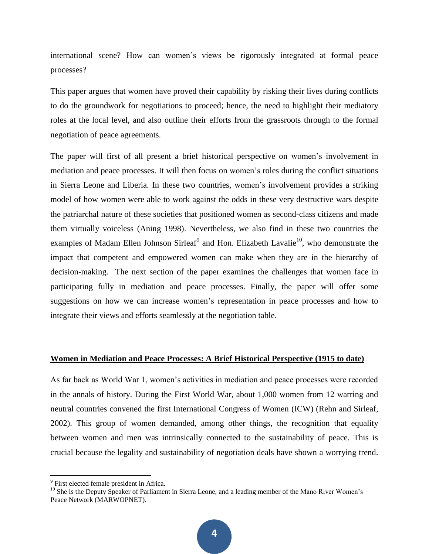international scene? How can women's views be rigorously integrated at formal peace processes?

This paper argues that women have proved their capability by risking their lives during conflicts to do the groundwork for negotiations to proceed; hence, the need to highlight their mediatory roles at the local level, and also outline their efforts from the grassroots through to the formal negotiation of peace agreements.

The paper will first of all present a brief historical perspective on women's involvement in mediation and peace processes. It will then focus on women's roles during the conflict situations in Sierra Leone and Liberia. In these two countries, women's involvement provides a striking model of how women were able to work against the odds in these very destructive wars despite the patriarchal nature of these societies that positioned women as second-class citizens and made them virtually voiceless (Aning 1998). Nevertheless, we also find in these two countries the examples of Madam Ellen Johnson Sirleaf<sup>9</sup> and Hon. Elizabeth Lavalie<sup>10</sup>, who demonstrate the impact that competent and empowered women can make when they are in the hierarchy of decision-making. The next section of the paper examines the challenges that women face in participating fully in mediation and peace processes. Finally, the paper will offer some suggestions on how we can increase women's representation in peace processes and how to integrate their views and efforts seamlessly at the negotiation table.

#### **Women in Mediation and Peace Processes: A Brief Historical Perspective (1915 to date)**

As far back as World War 1, women's activities in mediation and peace processes were recorded in the annals of history. During the First World War, about 1,000 women from 12 warring and neutral countries convened the first International Congress of Women (ICW) (Rehn and Sirleaf, 2002). This group of women demanded, among other things, the recognition that equality between women and men was intrinsically connected to the sustainability of peace. This is crucial because the legality and sustainability of negotiation deals have shown a worrying trend.

<sup>&</sup>lt;sup>9</sup> First elected female president in Africa.

<sup>&</sup>lt;sup>10</sup> She is the Deputy Speaker of Parliament in Sierra Leone, and a leading member of the Mano River Women's Peace Network (MARWOPNET).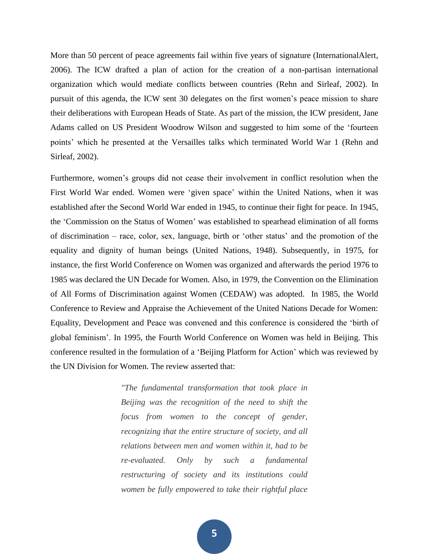More than 50 percent of peace agreements fail within five years of signature (InternationalAlert, 2006). The ICW drafted a plan of action for the creation of a non-partisan international organization which would mediate conflicts between countries (Rehn and Sirleaf, 2002). In pursuit of this agenda, the ICW sent 30 delegates on the first women's peace mission to share their deliberations with European Heads of State. As part of the mission, the ICW president, Jane Adams called on US President Woodrow Wilson and suggested to him some of the 'fourteen points' which he presented at the Versailles talks which terminated World War 1 (Rehn and Sirleaf, 2002).

Furthermore, women's groups did not cease their involvement in conflict resolution when the First World War ended. Women were 'given space' within the United Nations, when it was established after the Second World War ended in 1945, to continue their fight for peace. In 1945, the 'Commission on the Status of Women' was established to spearhead elimination of all forms of discrimination – race, color, sex, language, birth or 'other status' and the promotion of the equality and dignity of human beings (United Nations, 1948). Subsequently, in 1975, for instance, the first World Conference on Women was organized and afterwards the period 1976 to 1985 was declared the UN Decade for Women. Also, in 1979, the Convention on the Elimination of All Forms of Discrimination against Women (CEDAW) was adopted. In 1985, the World Conference to Review and Appraise the Achievement of the United Nations Decade for Women: Equality, Development and Peace was convened and this conference is considered the 'birth of global feminism'. In 1995, the Fourth World Conference on Women was held in Beijing. This conference resulted in the formulation of a 'Beijing Platform for Action' which was reviewed by the UN Division for Women. The review asserted that:

> *"The fundamental transformation that took place in Beijing was the recognition of the need to shift the focus from women to the concept of gender, recognizing that the entire structure of society, and all relations between men and women within it, had to be re-evaluated. Only by such a fundamental restructuring of society and its institutions could women be fully empowered to take their rightful place*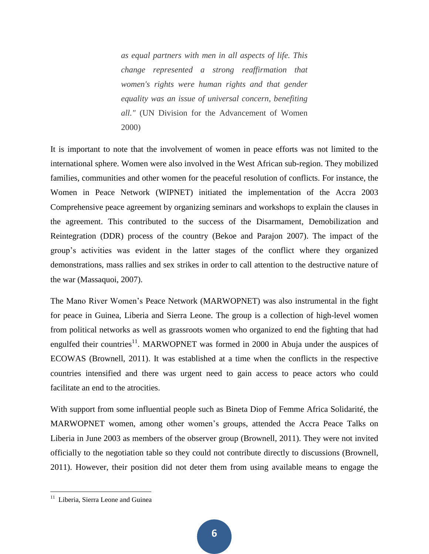*as equal partners with men in all aspects of life. This change represented a strong reaffirmation that women's rights were human rights and that gender equality was an issue of universal concern, benefiting all."* (UN Division for the Advancement of Women 2000)

It is important to note that the involvement of women in peace efforts was not limited to the international sphere. Women were also involved in the West African sub-region. They mobilized families, communities and other women for the peaceful resolution of conflicts. For instance, the Women in Peace Network (WIPNET) initiated the implementation of the Accra 2003 Comprehensive peace agreement by organizing seminars and workshops to explain the clauses in the agreement. This contributed to the success of the Disarmament, Demobilization and Reintegration (DDR) process of the country (Bekoe and Parajon 2007). The impact of the group's activities was evident in the latter stages of the conflict where they organized demonstrations, mass rallies and sex strikes in order to call attention to the destructive nature of the war (Massaquoi, 2007).

The Mano River Women's Peace Network (MARWOPNET) was also instrumental in the fight for peace in Guinea, Liberia and Sierra Leone. The group is a collection of high-level women from political networks as well as grassroots women who organized to end the fighting that had engulfed their countries<sup>11</sup>. MARWOPNET was formed in 2000 in Abuja under the auspices of ECOWAS (Brownell, 2011). It was established at a time when the conflicts in the respective countries intensified and there was urgent need to gain access to peace actors who could facilitate an end to the atrocities.

With support from some influential people such as Bineta Diop of Femme Africa Solidarité, the MARWOPNET women, among other women's groups, attended the Accra Peace Talks on Liberia in June 2003 as members of the observer group (Brownell, 2011). They were not invited officially to the negotiation table so they could not contribute directly to discussions (Brownell, 2011). However, their position did not deter them from using available means to engage the

<sup>&</sup>lt;sup>11</sup> Liberia, Sierra Leone and Guinea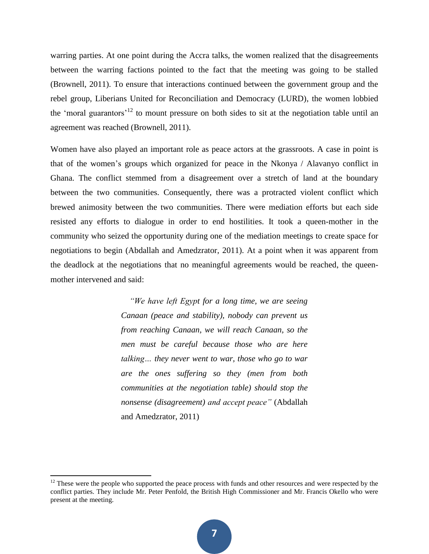warring parties. At one point during the Accra talks, the women realized that the disagreements between the warring factions pointed to the fact that the meeting was going to be stalled (Brownell, 2011). To ensure that interactions continued between the government group and the rebel group, Liberians United for Reconciliation and Democracy (LURD), the women lobbied the 'moral guarantors'<sup>12</sup> to mount pressure on both sides to sit at the negotiation table until an agreement was reached (Brownell, 2011).

Women have also played an important role as peace actors at the grassroots. A case in point is that of the women's groups which organized for peace in the Nkonya / Alavanyo conflict in Ghana. The conflict stemmed from a disagreement over a stretch of land at the boundary between the two communities. Consequently, there was a protracted violent conflict which brewed animosity between the two communities. There were mediation efforts but each side resisted any efforts to dialogue in order to end hostilities. It took a queen-mother in the community who seized the opportunity during one of the mediation meetings to create space for negotiations to begin (Abdallah and Amedzrator, 2011). At a point when it was apparent from the deadlock at the negotiations that no meaningful agreements would be reached, the queenmother intervened and said:

> *"We have left Egypt for a long time, we are seeing Canaan (peace and stability), nobody can prevent us from reaching Canaan, we will reach Canaan, so the men must be careful because those who are here talking… they never went to war, those who go to war are the ones suffering so they (men from both communities at the negotiation table) should stop the nonsense (disagreement) and accept peace"* (Abdallah and Amedzrator, 2011)

 $\overline{\phantom{a}}$ 

 $12$  These were the people who supported the peace process with funds and other resources and were respected by the conflict parties. They include Mr. Peter Penfold, the British High Commissioner and Mr. Francis Okello who were present at the meeting.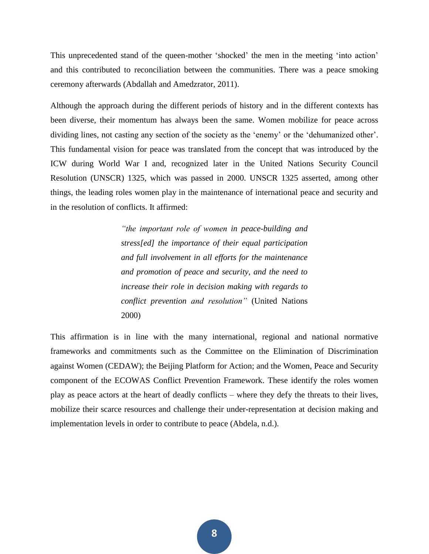This unprecedented stand of the queen-mother 'shocked' the men in the meeting 'into action' and this contributed to reconciliation between the communities. There was a peace smoking ceremony afterwards (Abdallah and Amedzrator, 2011).

Although the approach during the different periods of history and in the different contexts has been diverse, their momentum has always been the same. Women mobilize for peace across dividing lines, not casting any section of the society as the 'enemy' or the 'dehumanized other'. This fundamental vision for peace was translated from the concept that was introduced by the ICW during World War I and, recognized later in the United Nations Security Council Resolution (UNSCR) 1325, which was passed in 2000. UNSCR 1325 asserted, among other things, the leading roles women play in the maintenance of international peace and security and in the resolution of conflicts. It affirmed:

> *"the important role of women in peace-building and stress[ed] the importance of their equal participation and full involvement in all efforts for the maintenance and promotion of peace and security, and the need to increase their role in decision making with regards to conflict prevention and resolution"* (United Nations 2000)

This affirmation is in line with the many international, regional and national normative frameworks and commitments such as the Committee on the Elimination of Discrimination against Women (CEDAW); the Beijing Platform for Action; and the Women, Peace and Security component of the ECOWAS Conflict Prevention Framework. These identify the roles women play as peace actors at the heart of deadly conflicts – where they defy the threats to their lives, mobilize their scarce resources and challenge their under-representation at decision making and implementation levels in order to contribute to peace (Abdela, n.d.).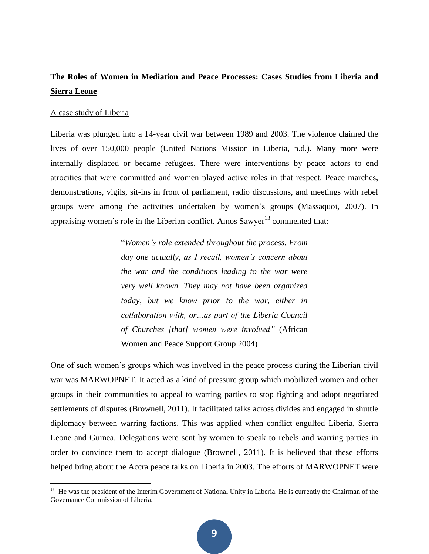## **The Roles of Women in Mediation and Peace Processes: Cases Studies from Liberia and Sierra Leone**

#### A case study of Liberia

 $\overline{\phantom{a}}$ 

Liberia was plunged into a 14-year civil war between 1989 and 2003. The violence claimed the lives of over 150,000 people (United Nations Mission in Liberia, n.d.). Many more were internally displaced or became refugees. There were interventions by peace actors to end atrocities that were committed and women played active roles in that respect. Peace marches, demonstrations, vigils, sit-ins in front of parliament, radio discussions, and meetings with rebel groups were among the activities undertaken by women's groups (Massaquoi, 2007). In appraising women's role in the Liberian conflict, Amos Sawyer<sup>13</sup> commented that:

> "*Women's role extended throughout the process. From day one actually, as I recall, women's concern about the war and the conditions leading to the war were very well known. They may not have been organized today, but we know prior to the war, either in collaboration with, or…as part of the Liberia Council of Churches [that] women were involved"* (African Women and Peace Support Group 2004)

One of such women's groups which was involved in the peace process during the Liberian civil war was MARWOPNET. It acted as a kind of pressure group which mobilized women and other groups in their communities to appeal to warring parties to stop fighting and adopt negotiated settlements of disputes (Brownell, 2011). It facilitated talks across divides and engaged in shuttle diplomacy between warring factions. This was applied when conflict engulfed Liberia, Sierra Leone and Guinea. Delegations were sent by women to speak to rebels and warring parties in order to convince them to accept dialogue (Brownell, 2011). It is believed that these efforts helped bring about the Accra peace talks on Liberia in 2003. The efforts of MARWOPNET were

<sup>&</sup>lt;sup>13</sup> He was the president of the Interim Government of National Unity in Liberia. He is currently the Chairman of the Governance Commission of Liberia.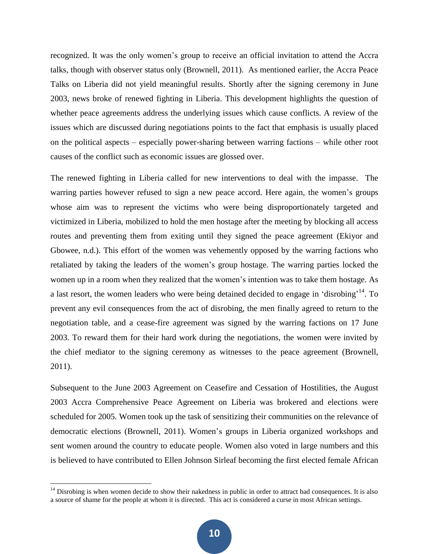recognized. It was the only women's group to receive an official invitation to attend the Accra talks, though with observer status only (Brownell, 2011). As mentioned earlier, the Accra Peace Talks on Liberia did not yield meaningful results. Shortly after the signing ceremony in June 2003, news broke of renewed fighting in Liberia. This development highlights the question of whether peace agreements address the underlying issues which cause conflicts. A review of the issues which are discussed during negotiations points to the fact that emphasis is usually placed on the political aspects – especially power-sharing between warring factions – while other root causes of the conflict such as economic issues are glossed over.

The renewed fighting in Liberia called for new interventions to deal with the impasse. The warring parties however refused to sign a new peace accord. Here again, the women's groups whose aim was to represent the victims who were being disproportionately targeted and victimized in Liberia, mobilized to hold the men hostage after the meeting by blocking all access routes and preventing them from exiting until they signed the peace agreement (Ekiyor and Gbowee, n.d.). This effort of the women was vehemently opposed by the warring factions who retaliated by taking the leaders of the women's group hostage. The warring parties locked the women up in a room when they realized that the women's intention was to take them hostage. As a last resort, the women leaders who were being detained decided to engage in 'disrobing'<sup>14</sup>. To prevent any evil consequences from the act of disrobing, the men finally agreed to return to the negotiation table, and a cease-fire agreement was signed by the warring factions on 17 June 2003. To reward them for their hard work during the negotiations, the women were invited by the chief mediator to the signing ceremony as witnesses to the peace agreement (Brownell, 2011).

Subsequent to the June 2003 Agreement on Ceasefire and Cessation of Hostilities, the August 2003 Accra Comprehensive Peace Agreement on Liberia was brokered and elections were scheduled for 2005. Women took up the task of sensitizing their communities on the relevance of democratic elections (Brownell, 2011). Women's groups in Liberia organized workshops and sent women around the country to educate people. Women also voted in large numbers and this is believed to have contributed to Ellen Johnson Sirleaf becoming the first elected female African

 $\overline{\phantom{a}}$ 

 $14$  Disrobing is when women decide to show their nakedness in public in order to attract bad consequences. It is also a source of shame for the people at whom it is directed. This act is considered a curse in most African settings.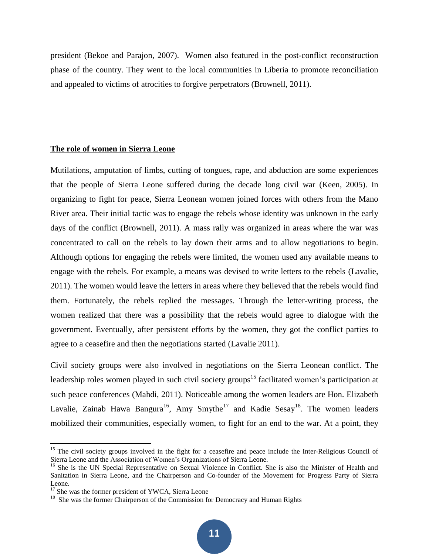president (Bekoe and Parajon, 2007). Women also featured in the post-conflict reconstruction phase of the country. They went to the local communities in Liberia to promote reconciliation and appealed to victims of atrocities to forgive perpetrators (Brownell, 2011).

#### **The role of women in Sierra Leone**

Mutilations, amputation of limbs, cutting of tongues, rape, and abduction are some experiences that the people of Sierra Leone suffered during the decade long civil war (Keen, 2005). In organizing to fight for peace, Sierra Leonean women joined forces with others from the Mano River area. Their initial tactic was to engage the rebels whose identity was unknown in the early days of the conflict (Brownell, 2011). A mass rally was organized in areas where the war was concentrated to call on the rebels to lay down their arms and to allow negotiations to begin. Although options for engaging the rebels were limited, the women used any available means to engage with the rebels. For example, a means was devised to write letters to the rebels (Lavalie, 2011). The women would leave the letters in areas where they believed that the rebels would find them. Fortunately, the rebels replied the messages. Through the letter-writing process, the women realized that there was a possibility that the rebels would agree to dialogue with the government. Eventually, after persistent efforts by the women, they got the conflict parties to agree to a ceasefire and then the negotiations started (Lavalie 2011).

Civil society groups were also involved in negotiations on the Sierra Leonean conflict. The leadership roles women played in such civil society groups<sup>15</sup> facilitated women's participation at such peace conferences (Mahdi, 2011). Noticeable among the women leaders are Hon. Elizabeth Lavalie, Zainab Hawa Bangura<sup>16</sup>, Amy Smythe<sup>17</sup> and Kadie Sesay<sup>18</sup>. The women leaders mobilized their communities, especially women, to fight for an end to the war. At a point, they

 $\overline{\phantom{a}}$ 

<sup>&</sup>lt;sup>15</sup> The civil society groups involved in the fight for a ceasefire and peace include the Inter-Religious Council of Sierra Leone and the Association of Women's Organizations of Sierra Leone.

<sup>&</sup>lt;sup>16</sup> She is the UN Special Representative on Sexual Violence in Conflict. She is also the Minister of Health and Sanitation in Sierra Leone, and the Chairperson and Co-founder of the Movement for Progress Party of Sierra Leone.

<sup>&</sup>lt;sup>17</sup> She was the former president of YWCA, Sierra Leone

<sup>&</sup>lt;sup>18</sup> She was the former Chairperson of the Commission for Democracy and Human Rights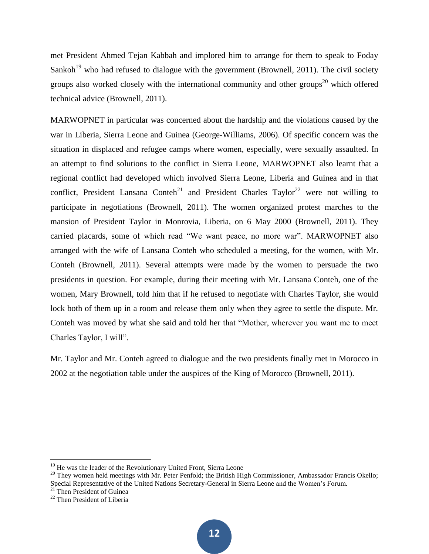met President Ahmed Tejan Kabbah and implored him to arrange for them to speak to Foday Sankoh<sup>19</sup> who had refused to dialogue with the government (Brownell, 2011). The civil society groups also worked closely with the international community and other groups<sup>20</sup> which offered technical advice (Brownell, 2011).

MARWOPNET in particular was concerned about the hardship and the violations caused by the war in Liberia, Sierra Leone and Guinea (George-Williams, 2006). Of specific concern was the situation in displaced and refugee camps where women, especially, were sexually assaulted. In an attempt to find solutions to the conflict in Sierra Leone, MARWOPNET also learnt that a regional conflict had developed which involved Sierra Leone, Liberia and Guinea and in that conflict, President Lansana Conteh<sup>21</sup> and President Charles Taylor<sup>22</sup> were not willing to participate in negotiations (Brownell, 2011). The women organized protest marches to the mansion of President Taylor in Monrovia, Liberia, on 6 May 2000 (Brownell, 2011). They carried placards, some of which read "We want peace, no more war". MARWOPNET also arranged with the wife of Lansana Conteh who scheduled a meeting, for the women, with Mr. Conteh (Brownell, 2011). Several attempts were made by the women to persuade the two presidents in question. For example, during their meeting with Mr. Lansana Conteh, one of the women, Mary Brownell, told him that if he refused to negotiate with Charles Taylor, she would lock both of them up in a room and release them only when they agree to settle the dispute. Mr. Conteh was moved by what she said and told her that "Mother, wherever you want me to meet Charles Taylor, I will".

Mr. Taylor and Mr. Conteh agreed to dialogue and the two presidents finally met in Morocco in 2002 at the negotiation table under the auspices of the King of Morocco (Brownell, 2011).

 $\overline{a}$ 

 $19$  He was the leader of the Revolutionary United Front, Sierra Leone

 $^{20}$  They women held meetings with Mr. Peter Penfold; the British High Commissioner, Ambassador Francis Okello; Special Representative of the United Nations Secretary-General in Sierra Leone and the Women's Forum.

<sup>&</sup>lt;sup>21</sup> Then President of Guinea

<sup>22</sup> Then President of Liberia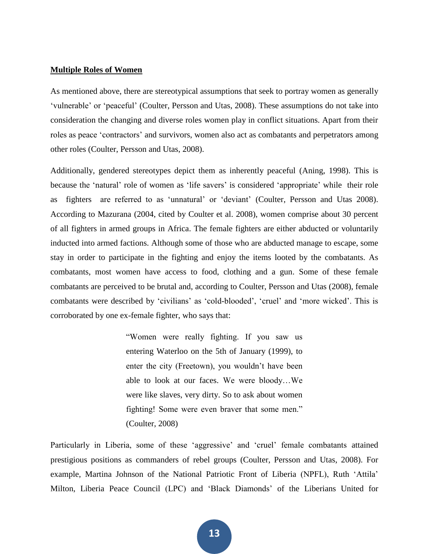#### **Multiple Roles of Women**

As mentioned above, there are stereotypical assumptions that seek to portray women as generally 'vulnerable' or 'peaceful' (Coulter, Persson and Utas, 2008). These assumptions do not take into consideration the changing and diverse roles women play in conflict situations. Apart from their roles as peace 'contractors' and survivors, women also act as combatants and perpetrators among other roles (Coulter, Persson and Utas, 2008).

Additionally, gendered stereotypes depict them as inherently peaceful (Aning, 1998). This is because the 'natural' role of women as 'life savers' is considered 'appropriate' while their role as fighters are referred to as 'unnatural' or 'deviant' (Coulter, Persson and Utas 2008). According to Mazurana (2004, cited by Coulter et al. 2008), women comprise about 30 percent of all fighters in armed groups in Africa. The female fighters are either abducted or voluntarily inducted into armed factions. Although some of those who are abducted manage to escape, some stay in order to participate in the fighting and enjoy the items looted by the combatants. As combatants, most women have access to food, clothing and a gun. Some of these female combatants are perceived to be brutal and, according to Coulter, Persson and Utas (2008), female combatants were described by 'civilians' as 'cold-blooded', 'cruel' and 'more wicked'. This is corroborated by one ex-female fighter, who says that:

> "Women were really fighting. If you saw us entering Waterloo on the 5th of January (1999), to enter the city (Freetown), you wouldn't have been able to look at our faces. We were bloody…We were like slaves, very dirty. So to ask about women fighting! Some were even braver that some men." (Coulter, 2008)

Particularly in Liberia, some of these 'aggressive' and 'cruel' female combatants attained prestigious positions as commanders of rebel groups (Coulter, Persson and Utas, 2008). For example, Martina Johnson of the National Patriotic Front of Liberia (NPFL), Ruth 'Attila' Milton, Liberia Peace Council (LPC) and 'Black Diamonds' of the Liberians United for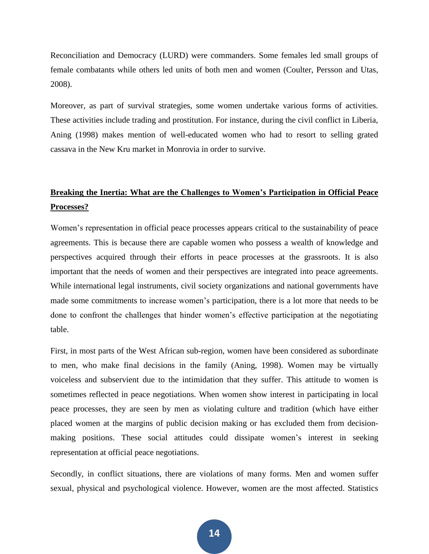Reconciliation and Democracy (LURD) were commanders. Some females led small groups of female combatants while others led units of both men and women (Coulter, Persson and Utas, 2008).

Moreover, as part of survival strategies, some women undertake various forms of activities. These activities include trading and prostitution. For instance, during the civil conflict in Liberia, Aning (1998) makes mention of well-educated women who had to resort to selling grated cassava in the New Kru market in Monrovia in order to survive.

## **Breaking the Inertia: What are the Challenges to Women's Participation in Official Peace Processes?**

Women's representation in official peace processes appears critical to the sustainability of peace agreements. This is because there are capable women who possess a wealth of knowledge and perspectives acquired through their efforts in peace processes at the grassroots. It is also important that the needs of women and their perspectives are integrated into peace agreements. While international legal instruments, civil society organizations and national governments have made some commitments to increase women's participation, there is a lot more that needs to be done to confront the challenges that hinder women's effective participation at the negotiating table.

First, in most parts of the West African sub-region, women have been considered as subordinate to men, who make final decisions in the family (Aning, 1998). Women may be virtually voiceless and subservient due to the intimidation that they suffer. This attitude to women is sometimes reflected in peace negotiations. When women show interest in participating in local peace processes, they are seen by men as violating culture and tradition (which have either placed women at the margins of public decision making or has excluded them from decisionmaking positions. These social attitudes could dissipate women's interest in seeking representation at official peace negotiations.

Secondly, in conflict situations, there are violations of many forms. Men and women suffer sexual, physical and psychological violence. However, women are the most affected. Statistics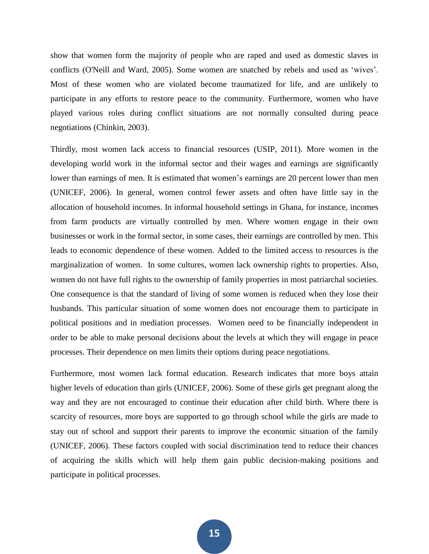show that women form the majority of people who are raped and used as domestic slaves in conflicts (O'Neill and Ward, 2005). Some women are snatched by rebels and used as 'wives'. Most of these women who are violated become traumatized for life, and are unlikely to participate in any efforts to restore peace to the community. Furthermore, women who have played various roles during conflict situations are not normally consulted during peace negotiations (Chinkin, 2003).

Thirdly, most women lack access to financial resources (USIP, 2011). More women in the developing world work in the informal sector and their wages and earnings are significantly lower than earnings of men. It is estimated that women's earnings are 20 percent lower than men (UNICEF, 2006). In general, women control fewer assets and often have little say in the allocation of household incomes. In informal household settings in Ghana, for instance, incomes from farm products are virtually controlled by men. Where women engage in their own businesses or work in the formal sector, in some cases, their earnings are controlled by men. This leads to economic dependence of these women. Added to the limited access to resources is the marginalization of women. In some cultures, women lack ownership rights to properties. Also, women do not have full rights to the ownership of family properties in most patriarchal societies. One consequence is that the standard of living of some women is reduced when they lose their husbands. This particular situation of some women does not encourage them to participate in political positions and in mediation processes. Women need to be financially independent in order to be able to make personal decisions about the levels at which they will engage in peace processes. Their dependence on men limits their options during peace negotiations.

Furthermore, most women lack formal education. Research indicates that more boys attain higher levels of education than girls (UNICEF, 2006). Some of these girls get pregnant along the way and they are not encouraged to continue their education after child birth. Where there is scarcity of resources, more boys are supported to go through school while the girls are made to stay out of school and support their parents to improve the economic situation of the family (UNICEF, 2006). These factors coupled with social discrimination tend to reduce their chances of acquiring the skills which will help them gain public decision-making positions and participate in political processes.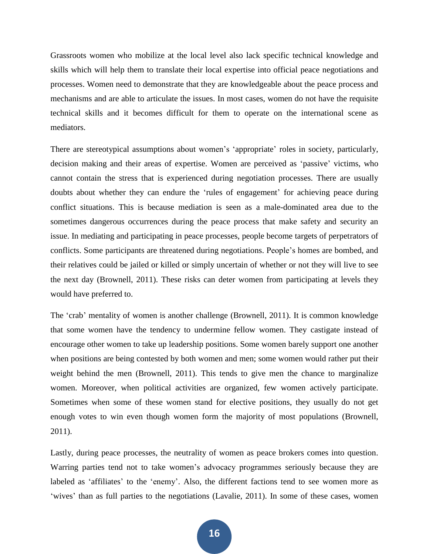Grassroots women who mobilize at the local level also lack specific technical knowledge and skills which will help them to translate their local expertise into official peace negotiations and processes. Women need to demonstrate that they are knowledgeable about the peace process and mechanisms and are able to articulate the issues. In most cases, women do not have the requisite technical skills and it becomes difficult for them to operate on the international scene as mediators.

There are stereotypical assumptions about women's 'appropriate' roles in society, particularly, decision making and their areas of expertise. Women are perceived as 'passive' victims, who cannot contain the stress that is experienced during negotiation processes. There are usually doubts about whether they can endure the 'rules of engagement' for achieving peace during conflict situations. This is because mediation is seen as a male-dominated area due to the sometimes dangerous occurrences during the peace process that make safety and security an issue. In mediating and participating in peace processes, people become targets of perpetrators of conflicts. Some participants are threatened during negotiations. People's homes are bombed, and their relatives could be jailed or killed or simply uncertain of whether or not they will live to see the next day (Brownell, 2011). These risks can deter women from participating at levels they would have preferred to.

The 'crab' mentality of women is another challenge (Brownell, 2011). It is common knowledge that some women have the tendency to undermine fellow women. They castigate instead of encourage other women to take up leadership positions. Some women barely support one another when positions are being contested by both women and men; some women would rather put their weight behind the men (Brownell, 2011). This tends to give men the chance to marginalize women. Moreover, when political activities are organized, few women actively participate. Sometimes when some of these women stand for elective positions, they usually do not get enough votes to win even though women form the majority of most populations (Brownell, 2011).

Lastly, during peace processes, the neutrality of women as peace brokers comes into question. Warring parties tend not to take women's advocacy programmes seriously because they are labeled as 'affiliates' to the 'enemy'. Also, the different factions tend to see women more as 'wives' than as full parties to the negotiations (Lavalie, 2011). In some of these cases, women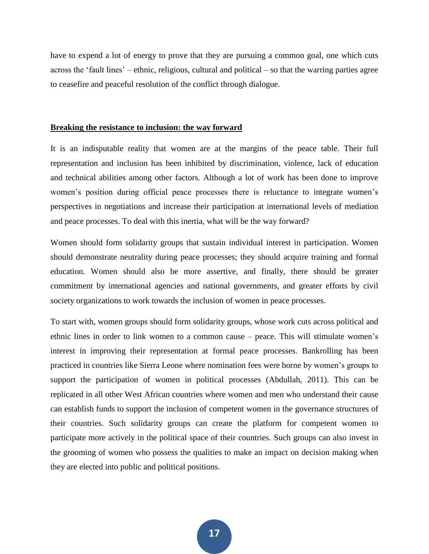have to expend a lot of energy to prove that they are pursuing a common goal, one which cuts across the 'fault lines' – ethnic, religious, cultural and political – so that the warring parties agree to ceasefire and peaceful resolution of the conflict through dialogue.

#### **Breaking the resistance to inclusion: the way forward**

It is an indisputable reality that women are at the margins of the peace table. Their full representation and inclusion has been inhibited by discrimination, violence, lack of education and technical abilities among other factors. Although a lot of work has been done to improve women's position during official peace processes there is reluctance to integrate women's perspectives in negotiations and increase their participation at international levels of mediation and peace processes. To deal with this inertia, what will be the way forward?

Women should form solidarity groups that sustain individual interest in participation. Women should demonstrate neutrality during peace processes; they should acquire training and formal education. Women should also be more assertive, and finally, there should be greater commitment by international agencies and national governments, and greater efforts by civil society organizations to work towards the inclusion of women in peace processes.

To start with, women groups should form solidarity groups, whose work cuts across political and ethnic lines in order to link women to a common cause – peace. This will stimulate women's interest in improving their representation at formal peace processes. Bankrolling has been practiced in countries like Sierra Leone where nomination fees were borne by women's groups to support the participation of women in political processes (Abdullah, 2011). This can be replicated in all other West African countries where women and men who understand their cause can establish funds to support the inclusion of competent women in the governance structures of their countries. Such solidarity groups can create the platform for competent women to participate more actively in the political space of their countries. Such groups can also invest in the grooming of women who possess the qualities to make an impact on decision making when they are elected into public and political positions.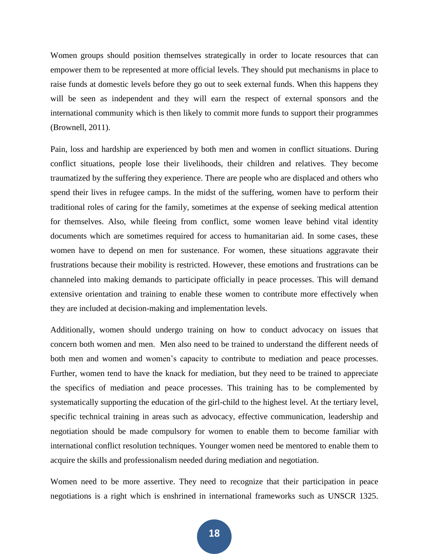Women groups should position themselves strategically in order to locate resources that can empower them to be represented at more official levels. They should put mechanisms in place to raise funds at domestic levels before they go out to seek external funds. When this happens they will be seen as independent and they will earn the respect of external sponsors and the international community which is then likely to commit more funds to support their programmes (Brownell, 2011).

Pain, loss and hardship are experienced by both men and women in conflict situations. During conflict situations, people lose their livelihoods, their children and relatives. They become traumatized by the suffering they experience. There are people who are displaced and others who spend their lives in refugee camps. In the midst of the suffering, women have to perform their traditional roles of caring for the family, sometimes at the expense of seeking medical attention for themselves. Also, while fleeing from conflict, some women leave behind vital identity documents which are sometimes required for access to humanitarian aid. In some cases, these women have to depend on men for sustenance. For women, these situations aggravate their frustrations because their mobility is restricted. However, these emotions and frustrations can be channeled into making demands to participate officially in peace processes. This will demand extensive orientation and training to enable these women to contribute more effectively when they are included at decision-making and implementation levels.

Additionally, women should undergo training on how to conduct advocacy on issues that concern both women and men. Men also need to be trained to understand the different needs of both men and women and women's capacity to contribute to mediation and peace processes. Further, women tend to have the knack for mediation, but they need to be trained to appreciate the specifics of mediation and peace processes. This training has to be complemented by systematically supporting the education of the girl-child to the highest level. At the tertiary level, specific technical training in areas such as advocacy, effective communication, leadership and negotiation should be made compulsory for women to enable them to become familiar with international conflict resolution techniques. Younger women need be mentored to enable them to acquire the skills and professionalism needed during mediation and negotiation.

Women need to be more assertive. They need to recognize that their participation in peace negotiations is a right which is enshrined in international frameworks such as UNSCR 1325.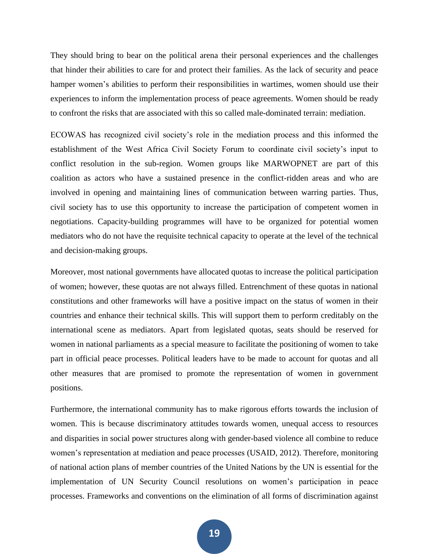They should bring to bear on the political arena their personal experiences and the challenges that hinder their abilities to care for and protect their families. As the lack of security and peace hamper women's abilities to perform their responsibilities in wartimes, women should use their experiences to inform the implementation process of peace agreements. Women should be ready to confront the risks that are associated with this so called male-dominated terrain: mediation.

ECOWAS has recognized civil society's role in the mediation process and this informed the establishment of the West Africa Civil Society Forum to coordinate civil society's input to conflict resolution in the sub-region. Women groups like MARWOPNET are part of this coalition as actors who have a sustained presence in the conflict-ridden areas and who are involved in opening and maintaining lines of communication between warring parties. Thus, civil society has to use this opportunity to increase the participation of competent women in negotiations. Capacity-building programmes will have to be organized for potential women mediators who do not have the requisite technical capacity to operate at the level of the technical and decision-making groups.

Moreover, most national governments have allocated quotas to increase the political participation of women; however, these quotas are not always filled. Entrenchment of these quotas in national constitutions and other frameworks will have a positive impact on the status of women in their countries and enhance their technical skills. This will support them to perform creditably on the international scene as mediators. Apart from legislated quotas, seats should be reserved for women in national parliaments as a special measure to facilitate the positioning of women to take part in official peace processes. Political leaders have to be made to account for quotas and all other measures that are promised to promote the representation of women in government positions.

Furthermore, the international community has to make rigorous efforts towards the inclusion of women. This is because discriminatory attitudes towards women, unequal access to resources and disparities in social power structures along with gender-based violence all combine to reduce women's representation at mediation and peace processes (USAID, 2012). Therefore, monitoring of national action plans of member countries of the United Nations by the UN is essential for the implementation of UN Security Council resolutions on women's participation in peace processes. Frameworks and conventions on the elimination of all forms of discrimination against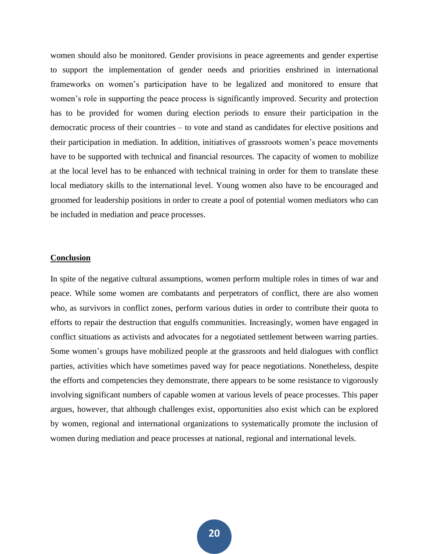women should also be monitored. Gender provisions in peace agreements and gender expertise to support the implementation of gender needs and priorities enshrined in international frameworks on women's participation have to be legalized and monitored to ensure that women's role in supporting the peace process is significantly improved. Security and protection has to be provided for women during election periods to ensure their participation in the democratic process of their countries – to vote and stand as candidates for elective positions and their participation in mediation. In addition, initiatives of grassroots women's peace movements have to be supported with technical and financial resources. The capacity of women to mobilize at the local level has to be enhanced with technical training in order for them to translate these local mediatory skills to the international level. Young women also have to be encouraged and groomed for leadership positions in order to create a pool of potential women mediators who can be included in mediation and peace processes.

#### **Conclusion**

In spite of the negative cultural assumptions, women perform multiple roles in times of war and peace. While some women are combatants and perpetrators of conflict, there are also women who, as survivors in conflict zones, perform various duties in order to contribute their quota to efforts to repair the destruction that engulfs communities. Increasingly, women have engaged in conflict situations as activists and advocates for a negotiated settlement between warring parties. Some women's groups have mobilized people at the grassroots and held dialogues with conflict parties, activities which have sometimes paved way for peace negotiations. Nonetheless, despite the efforts and competencies they demonstrate, there appears to be some resistance to vigorously involving significant numbers of capable women at various levels of peace processes. This paper argues, however, that although challenges exist, opportunities also exist which can be explored by women, regional and international organizations to systematically promote the inclusion of women during mediation and peace processes at national, regional and international levels.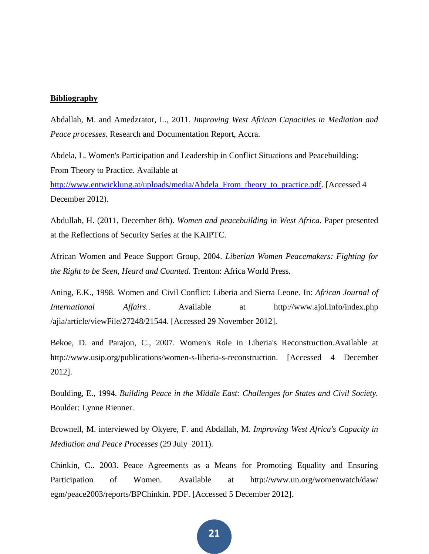#### **Bibliography**

Abdallah, M. and Amedzrator, L., 2011. *Improving West African Capacities in Mediation and Peace processes*. Research and Documentation Report, Accra.

Abdela, L. Women's Participation and Leadership in Conflict Situations and Peacebuilding: From Theory to Practice. Available at

[http://www.entwicklung.at/uploads/media/Abdela\\_From\\_theory\\_to\\_practice.pdf.](http://www.entwicklung.at/uploads/media/Abdela_From_theory_to_practice.pdf) [Accessed 4 December 2012).

Abdullah, H. (2011, December 8th). *Women and peacebuilding in West Africa*. Paper presented at the Reflections of Security Series at the KAIPTC.

African Women and Peace Support Group, 2004. *Liberian Women Peacemakers: Fighting for the Right to be Seen, Heard and Counted.* Trenton: Africa World Press.

Aning, E.K., 1998. Women and Civil Conflict: Liberia and Sierra Leone. In: *African Journal of International Affairs.*. Available at http://www.ajol.info/index.php /ajia/article/viewFile/27248/21544. [Accessed 29 November 2012].

Bekoe, D. and Parajon, C., 2007. Women's Role in Liberia's Reconstruction.Available at http://www.usip.org/publications/women-s-liberia-s-reconstruction. [Accessed 4 December 2012].

Boulding, E., 1994. *Building Peace in the Middle East: Challenges for States and Civil Society.* Boulder: Lynne Rienner.

Brownell, M. interviewed by Okyere, F. and Abdallah, M. *Improving West Africa's Capacity in Mediation and Peace Processes* (29 July 2011).

Chinkin, C.. 2003. Peace Agreements as a Means for Promoting Equality and Ensuring Participation of Women. Available at http://www.un.org/womenwatch/daw/ egm/peace2003/reports/BPChinkin. PDF. [Accessed 5 December 2012].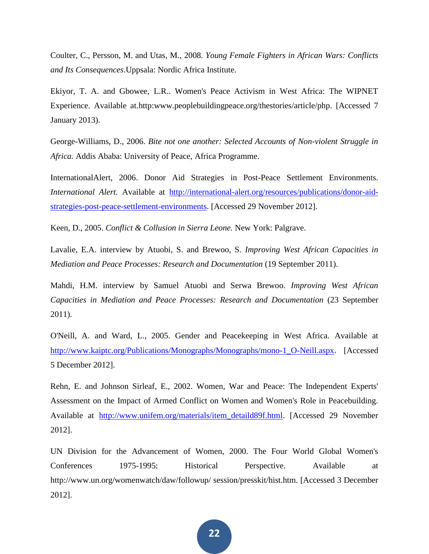Coulter, C., Persson, M. and Utas, M., 2008. *Young Female Fighters in African Wars: Conflicts and Its Consequences*.Uppsala: Nordic Africa Institute.

Ekiyor, T. A. and Gbowee, L.R.. Women's Peace Activism in West Africa: The WIPNET Experience. Available at*.*http:www.peoplebuildingpeace.org/thestories/article/php. [Accessed 7 January 2013).

George-Williams, D., 2006. *Bite not one another: Selected Accounts of Non-violent Struggle in Africa.* Addis Ababa: University of Peace, Africa Programme.

InternationalAlert, 2006. Donor Aid Strategies in Post-Peace Settlement Environments. *International Alert.* Available at [http://international-alert.org/resources/publications/donor-aid](http://international-alert.org/resources/publications/donor-aid-strategies-post-peace-settlement-environments)[strategies-post-peace-settlement-environments.](http://international-alert.org/resources/publications/donor-aid-strategies-post-peace-settlement-environments) [Accessed 29 November 2012].

Keen, D., 2005. *Conflict & Collusion in Sierra Leone.* New York: Palgrave.

Lavalie, E.A. interview by Atuobi, S. and Brewoo, S. *Improving West African Capacities in Mediation and Peace Processes: Research and Documentation* (19 September 2011).

Mahdi, H.M. interview by Samuel Atuobi and Serwa Brewoo. *Improving West African Capacities in Mediation and Peace Processes: Research and Documentation* (23 September 2011).

O'Neill, A. and Ward, L., 2005. Gender and Peacekeeping in West Africa. Available at [http://www.kaiptc.org/Publications/Monographs/Monographs/mono-1\\_O-Neill.aspx.](http://www.kaiptc.org/Publications/Monographs/Monographs/mono-1_O-Neill.aspx) [Accessed 5 December 2012].

Rehn, E. and Johnson Sirleaf, E., 2002. Women, War and Peace: The Independent Experts' Assessment on the Impact of Armed Conflict on Women and Women's Role in Peacebuilding. Available at [http://www.unifem.org/materials/item\\_detaild89f.html.](http://www.unifem.org/materials/item_detaild89f.html) [Accessed 29 November 2012].

UN Division for the Advancement of Women, 2000. The Four World Global Women's Conferences 1975-1995: Historical Perspective. Available at http://www.un.org/womenwatch/daw/followup/ session/presskit/hist.htm. [Accessed 3 December 2012].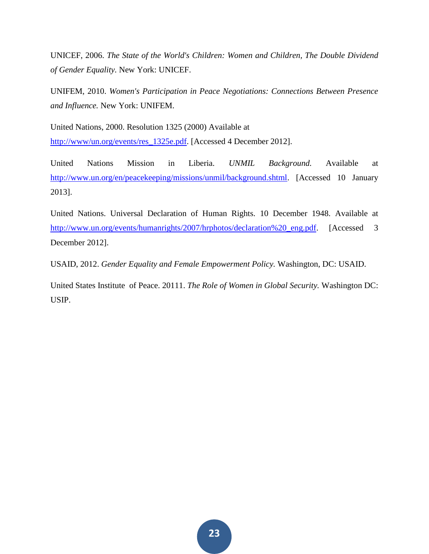UNICEF, 2006. *The State of the World's Children: Women and Children, The Double Dividend of Gender Equality.* New York: UNICEF.

UNIFEM, 2010. *Women's Participation in Peace Negotiations: Connections Between Presence and Influence.* New York: UNIFEM.

United Nations, 2000. Resolution 1325 (2000) Available at [http://www/un.org/events/res\\_1325e.pdf.](http://www/un.org/events/res_1325e.pdf) [Accessed 4 December 2012].

United Nations Mission in Liberia. *UNMIL Background.* Available at [http://www.un.org/en/peacekeeping/missions/unmil/background.shtml.](http://www.un.org/en/peacekeeping/missions/unmil/background.shtml) [Accessed 10 January 2013].

United Nations. Universal Declaration of Human Rights*.* 10 December 1948. Available at [http://www.un.org/events/humanrights/2007/hrphotos/declaration%20\\_eng.pdf.](http://www.un.org/events/humanrights/2007/hrphotos/declaration%20_eng.pdf) [Accessed 3 December 2012].

USAID, 2012. *Gender Equality and Female Empowerment Policy.* Washington, DC: USAID.

United States Institute of Peace. 20111. *The Role of Women in Global Security.* Washington DC: USIP.